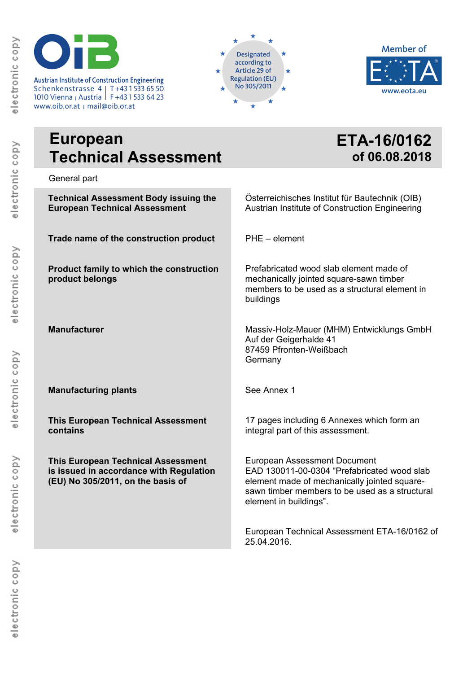Austrian Institute of Construction Engineering<br>
Schenkenstrasse 4 | T+43 1 533 65 50 **INSTITUTE FOR AUTE FINO 305/2011** Schenkenstrasse 4 T+43 1 533 65 50 1010 Vienna <sub>I</sub> Austria | F+43 1 533 64 23

www.oib.or.at <sub>|</sub> mail@oib.or.at





# **European Technical Assessment**

**ETA-16/0162 of 06.08.2018**

General part

**Technical Assessment Body issuing the European Technical Assessment Trade name of the construction product Product family to which the construction product belongs Manufacturer Manufacturing plants This European Technical Assessment contains This European Technical Assessment is issued in accordance with Regulation (EU) No 305/2011, on the basis of**  Österreichisches Institut für Bautechnik (OIB) Austrian Institute of Construction Engineering PHE – element Prefabricated wood slab element made of mechanically jointed square-sawn timber members to be used as a structural element in buildings Massiv-Holz-Mauer (MHM) Entwicklungs GmbH Auf der Geigerhalde 41 87459 Pfronten-Weißbach Germany See Annex 1 17 pages including 6 Annexes which form an integral part of this assessment. European Assessment Document EAD 130011-00-0304 "Prefabricated wood slab element made of mechanically jointed squaresawn timber members to be used as a structural element in buildings". European Technical Assessment ETA-16/0162 of 25.04.2016.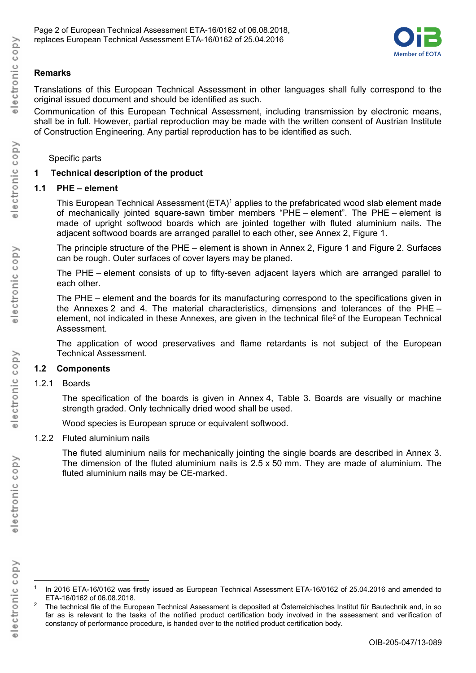

# **Remarks**

Translations of this European Technical Assessment in other languages shall fully correspond to the original issued document and should be identified as such.

Communication of this European Technical Assessment, including transmission by electronic means, shall be in full. However, partial reproduction may be made with the written consent of Austrian Institute of Construction Engineering. Any partial reproduction has to be identified as such.

# Specific parts

# **1 Technical description of the product**

# **1.1 PHE – element**

This European Technical Assessment (ETA)<sup>1</sup> applies to the prefabricated wood slab element made of mechanically jointed square-sawn timber members "PHE – element". The PHE – element is made of upright softwood boards which are jointed together with fluted aluminium nails. The adjacent softwood boards are arranged parallel to each other, see Annex 2, Figure 1.

The principle structure of the PHE – element is shown in Annex 2, Figure 1 and Figure 2. Surfaces can be rough. Outer surfaces of cover layers may be planed.

The PHE – element consists of up to fifty-seven adjacent layers which are arranged parallel to each other.

The PHE – element and the boards for its manufacturing correspond to the specifications given in the Annexes 2 and 4. The material characteristics, dimensions and tolerances of the PHE – element, not indicated in these Annexes, are given in the technical file2 of the European Technical Assessment.

The application of wood preservatives and flame retardants is not subject of the European Technical Assessment.

# **1.2 Components**

1.2.1 Boards

The specification of the boards is given in Annex 4, Table 3. Boards are visually or machine strength graded. Only technically dried wood shall be used.

Wood species is European spruce or equivalent softwood.

# 1.2.2 Fluted aluminium nails

The fluted aluminium nails for mechanically jointing the single boards are described in Annex 3. The dimension of the fluted aluminium nails is 2.5 x 50 mm. They are made of aluminium. The fluted aluminium nails may be CE-marked.

electronic copy

In 2016 ETA-16/0162 was firstly issued as European Technical Assessment ETA-16/0162 of 25.04.2016 and amended to ETA-16/0162 of 06.08.2018.

<sup>2</sup> The technical file of the European Technical Assessment is deposited at Österreichisches Institut für Bautechnik and, in so far as is relevant to the tasks of the notified product certification body involved in the assessment and verification of constancy of performance procedure, is handed over to the notified product certification body.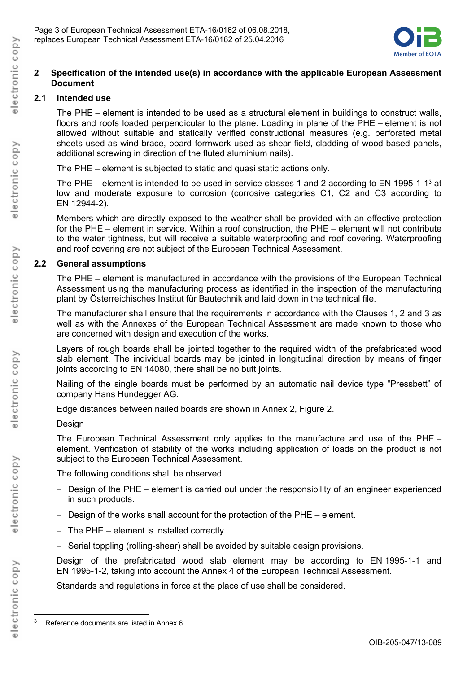

## **2 Specification of the intended use(s) in accordance with the applicable European Assessment Document**

# **2.1 Intended use**

The PHE – element is intended to be used as a structural element in buildings to construct walls, floors and roofs loaded perpendicular to the plane. Loading in plane of the PHE – element is not allowed without suitable and statically verified constructional measures (e.g. perforated metal sheets used as wind brace, board formwork used as shear field, cladding of wood-based panels, additional screwing in direction of the fluted aluminium nails).

The PHE – element is subjected to static and quasi static actions only.

The PHE – element is intended to be used in service classes 1 and 2 according to EN 1995-1-1<sup>3</sup> at low and moderate exposure to corrosion (corrosive categories C1, C2 and C3 according to EN 12944-2).

Members which are directly exposed to the weather shall be provided with an effective protection for the PHE – element in service. Within a roof construction, the PHE – element will not contribute to the water tightness, but will receive a suitable waterproofing and roof covering. Waterproofing and roof covering are not subject of the European Technical Assessment.

# **2.2 General assumptions**

The PHE – element is manufactured in accordance with the provisions of the European Technical Assessment using the manufacturing process as identified in the inspection of the manufacturing plant by Österreichisches Institut für Bautechnik and laid down in the technical file.

The manufacturer shall ensure that the requirements in accordance with the Clauses 1, 2 and 3 as well as with the Annexes of the European Technical Assessment are made known to those who are concerned with design and execution of the works.

Layers of rough boards shall be jointed together to the required width of the prefabricated wood slab element. The individual boards may be jointed in longitudinal direction by means of finger joints according to EN 14080, there shall be no butt joints.

Nailing of the single boards must be performed by an automatic nail device type "Pressbett" of company Hans Hundegger AG.

Edge distances between nailed boards are shown in Annex 2, Figure 2.

# Design

The European Technical Assessment only applies to the manufacture and use of the PHE – element. Verification of stability of the works including application of loads on the product is not subject to the European Technical Assessment.

The following conditions shall be observed:

- Design of the PHE element is carried out under the responsibility of an engineer experienced in such products.
- $-$  Design of the works shall account for the protection of the PHE element.
- $-$  The PHE element is installed correctly.
- Serial toppling (rolling-shear) shall be avoided by suitable design provisions.

Design of the prefabricated wood slab element may be according to EN 1995-1-1 and EN 1995-1-2, taking into account the Annex 4 of the European Technical Assessment.

Standards and regulations in force at the place of use shall be considered.

l

<sup>3</sup> Reference documents are listed in Annex 6.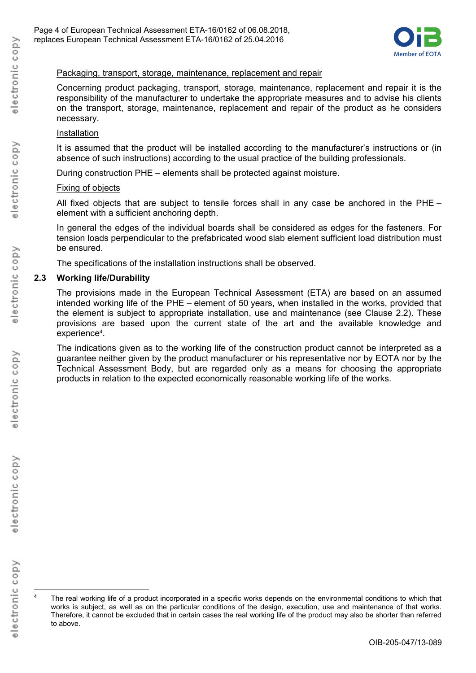

#### Packaging, transport, storage, maintenance, replacement and repair

Concerning product packaging, transport, storage, maintenance, replacement and repair it is the responsibility of the manufacturer to undertake the appropriate measures and to advise his clients on the transport, storage, maintenance, replacement and repair of the product as he considers necessary.

#### Installation

It is assumed that the product will be installed according to the manufacturer's instructions or (in absence of such instructions) according to the usual practice of the building professionals.

During construction PHE – elements shall be protected against moisture.

#### Fixing of objects

All fixed objects that are subject to tensile forces shall in any case be anchored in the PHE – element with a sufficient anchoring depth.

In general the edges of the individual boards shall be considered as edges for the fasteners. For tension loads perpendicular to the prefabricated wood slab element sufficient load distribution must be ensured.

The specifications of the installation instructions shall be observed.

#### **2.3 Working life/Durability**

The provisions made in the European Technical Assessment (ETA) are based on an assumed intended working life of the PHE – element of 50 years, when installed in the works, provided that the element is subject to appropriate installation, use and maintenance (see Clause 2.2). These provisions are based upon the current state of the art and the available knowledge and experience<sup>4</sup>.

The indications given as to the working life of the construction product cannot be interpreted as a guarantee neither given by the product manufacturer or his representative nor by EOTA nor by the Technical Assessment Body, but are regarded only as a means for choosing the appropriate products in relation to the expected economically reasonable working life of the works.

l

The real working life of a product incorporated in a specific works depends on the environmental conditions to which that works is subject, as well as on the particular conditions of the design, execution, use and maintenance of that works. Therefore, it cannot be excluded that in certain cases the real working life of the product may also be shorter than referred to above.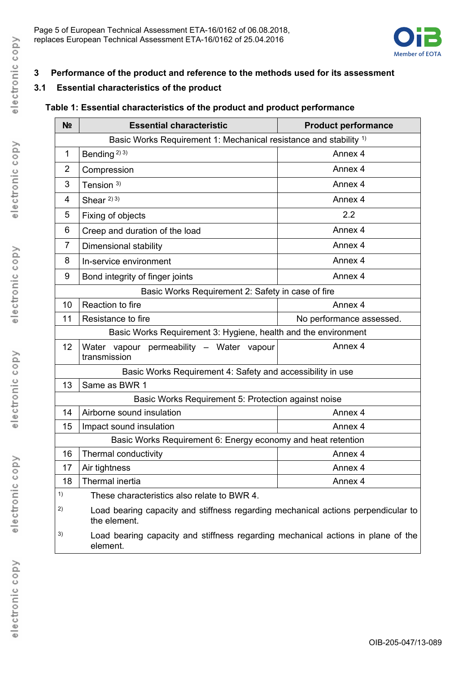

# **3 Performance of the product and reference to the methods used for its assessment**

# **3.1 Essential characteristics of the product**

# **Table 1: Essential characteristics of the product and product performance**

| N <sub>2</sub>                                      | <b>Essential characteristic</b>                                                                   | <b>Product performance</b> |  |  |  |
|-----------------------------------------------------|---------------------------------------------------------------------------------------------------|----------------------------|--|--|--|
|                                                     | Basic Works Requirement 1: Mechanical resistance and stability 1)                                 |                            |  |  |  |
| 1                                                   | Bending <sup>2)</sup> <sup>3)</sup>                                                               | Annex 4                    |  |  |  |
| 2                                                   | Compression                                                                                       | Annex 4                    |  |  |  |
| 3                                                   | Tension $3)$                                                                                      | Annex 4                    |  |  |  |
| 4                                                   | Shear $^{2/3}$                                                                                    | Annex 4                    |  |  |  |
| 5                                                   | Fixing of objects                                                                                 | 2.2                        |  |  |  |
| 6                                                   | Creep and duration of the load                                                                    | Annex 4                    |  |  |  |
| 7                                                   | Dimensional stability                                                                             | Annex 4                    |  |  |  |
| 8                                                   | In-service environment                                                                            | Annex 4                    |  |  |  |
| 9                                                   | Bond integrity of finger joints                                                                   | Annex 4                    |  |  |  |
|                                                     | Basic Works Requirement 2: Safety in case of fire                                                 |                            |  |  |  |
| 10                                                  | Reaction to fire                                                                                  | Annex 4                    |  |  |  |
| 11                                                  | Resistance to fire                                                                                | No performance assessed.   |  |  |  |
|                                                     | Basic Works Requirement 3: Hygiene, health and the environment                                    |                            |  |  |  |
| 12                                                  | Water vapour permeability - Water vapour<br>transmission                                          | Annex 4                    |  |  |  |
|                                                     | Basic Works Requirement 4: Safety and accessibility in use                                        |                            |  |  |  |
| 13                                                  | Same as BWR 1                                                                                     |                            |  |  |  |
| Basic Works Requirement 5: Protection against noise |                                                                                                   |                            |  |  |  |
| 14                                                  | Airborne sound insulation                                                                         | Annex 4                    |  |  |  |
| 15                                                  | Impact sound insulation                                                                           | Annex 4                    |  |  |  |
|                                                     | Basic Works Requirement 6: Energy economy and heat retention                                      |                            |  |  |  |
| 16                                                  | Thermal conductivity                                                                              | Annex 4                    |  |  |  |
| 17                                                  | Air tightness                                                                                     | Annex 4                    |  |  |  |
| 18                                                  | Thermal inertia                                                                                   | Annex 4                    |  |  |  |
| 1)                                                  | These characteristics also relate to BWR 4.                                                       |                            |  |  |  |
| 2)                                                  | Load bearing capacity and stiffness regarding mechanical actions perpendicular to<br>the element. |                            |  |  |  |
| 3)                                                  | Load bearing capacity and stiffness regarding mechanical actions in plane of the<br>element.      |                            |  |  |  |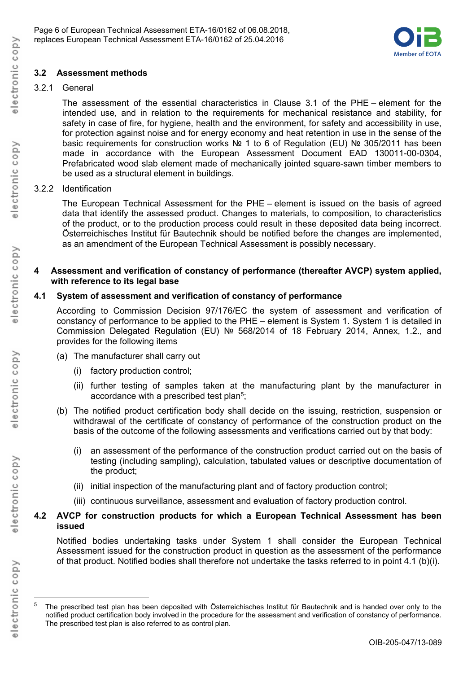

# **3.2 Assessment methods**

## 3.2.1 General

The assessment of the essential characteristics in Clause 3.1 of the PHE – element for the intended use, and in relation to the requirements for mechanical resistance and stability, for safety in case of fire, for hygiene, health and the environment, for safety and accessibility in use, for protection against noise and for energy economy and heat retention in use in the sense of the basic requirements for construction works № 1 to 6 of Regulation (EU) № 305/2011 has been made in accordance with the European Assessment Document EAD 130011-00-0304, Prefabricated wood slab element made of mechanically jointed square-sawn timber members to be used as a structural element in buildings.

## 3.2.2 Identification

The European Technical Assessment for the PHE – element is issued on the basis of agreed data that identify the assessed product. Changes to materials, to composition, to characteristics of the product, or to the production process could result in these deposited data being incorrect. Österreichisches Institut für Bautechnik should be notified before the changes are implemented, as an amendment of the European Technical Assessment is possibly necessary.

#### **4 Assessment and verification of constancy of performance (thereafter AVCP) system applied, with reference to its legal base**

## **4.1 System of assessment and verification of constancy of performance**

According to Commission Decision 97/176/EC the system of assessment and verification of constancy of performance to be applied to the PHE – element is System 1. System 1 is detailed in Commission Delegated Regulation (EU) № 568/2014 of 18 February 2014, Annex, 1.2., and provides for the following items

- (a) The manufacturer shall carry out
	- (i) factory production control;
	- (ii) further testing of samples taken at the manufacturing plant by the manufacturer in accordance with a prescribed test plan<sup>5</sup>;
- (b) The notified product certification body shall decide on the issuing, restriction, suspension or withdrawal of the certificate of constancy of performance of the construction product on the basis of the outcome of the following assessments and verifications carried out by that body:
	- (i) an assessment of the performance of the construction product carried out on the basis of testing (including sampling), calculation, tabulated values or descriptive documentation of the product;
	- (ii) initial inspection of the manufacturing plant and of factory production control;
	- (iii) continuous surveillance, assessment and evaluation of factory production control.

# **4.2 AVCP for construction products for which a European Technical Assessment has been issued**

Notified bodies undertaking tasks under System 1 shall consider the European Technical Assessment issued for the construction product in question as the assessment of the performance of that product. Notified bodies shall therefore not undertake the tasks referred to in point 4.1 (b)(i).

l

<sup>5</sup> The prescribed test plan has been deposited with Österreichisches Institut für Bautechnik and is handed over only to the notified product certification body involved in the procedure for the assessment and verification of constancy of performance. The prescribed test plan is also referred to as control plan.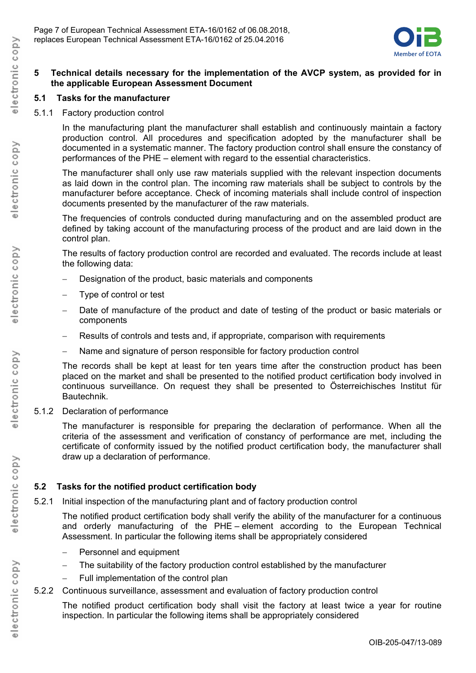

## **5 Technical details necessary for the implementation of the AVCP system, as provided for in the applicable European Assessment Document**

# **5.1 Tasks for the manufacturer**

5.1.1 Factory production control

In the manufacturing plant the manufacturer shall establish and continuously maintain a factory production control. All procedures and specification adopted by the manufacturer shall be documented in a systematic manner. The factory production control shall ensure the constancy of performances of the PHE – element with regard to the essential characteristics.

The manufacturer shall only use raw materials supplied with the relevant inspection documents as laid down in the control plan. The incoming raw materials shall be subject to controls by the manufacturer before acceptance. Check of incoming materials shall include control of inspection documents presented by the manufacturer of the raw materials.

The frequencies of controls conducted during manufacturing and on the assembled product are defined by taking account of the manufacturing process of the product and are laid down in the control plan.

The results of factory production control are recorded and evaluated. The records include at least the following data:

- Designation of the product, basic materials and components
- Type of control or test
- Date of manufacture of the product and date of testing of the product or basic materials or components
- Results of controls and tests and, if appropriate, comparison with requirements
- Name and signature of person responsible for factory production control

The records shall be kept at least for ten years time after the construction product has been placed on the market and shall be presented to the notified product certification body involved in continuous surveillance. On request they shall be presented to Österreichisches Institut für Bautechnik.

# 5.1.2 Declaration of performance

The manufacturer is responsible for preparing the declaration of performance. When all the criteria of the assessment and verification of constancy of performance are met, including the certificate of conformity issued by the notified product certification body, the manufacturer shall draw up a declaration of performance.

# **5.2 Tasks for the notified product certification body**

5.2.1 Initial inspection of the manufacturing plant and of factory production control

The notified product certification body shall verify the ability of the manufacturer for a continuous and orderly manufacturing of the PHE – element according to the European Technical Assessment. In particular the following items shall be appropriately considered

- Personnel and equipment
- The suitability of the factory production control established by the manufacturer
- Full implementation of the control plan
- 5.2.2 Continuous surveillance, assessment and evaluation of factory production control

The notified product certification body shall visit the factory at least twice a year for routine inspection. In particular the following items shall be appropriately considered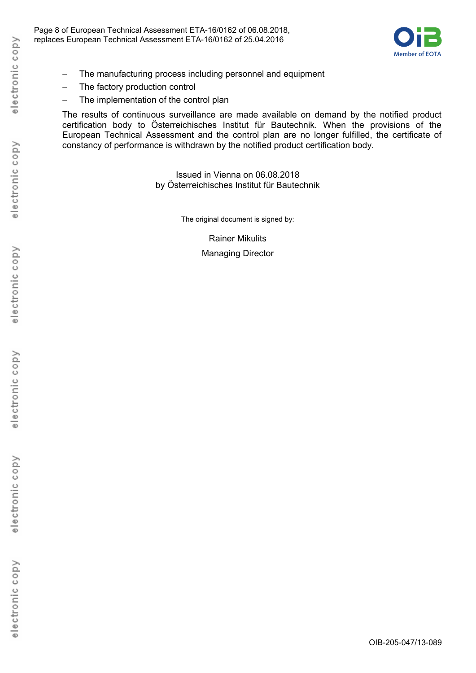

- The manufacturing process including personnel and equipment
- The factory production control
- The implementation of the control plan

The results of continuous surveillance are made available on demand by the notified product certification body to Österreichisches Institut für Bautechnik. When the provisions of the European Technical Assessment and the control plan are no longer fulfilled, the certificate of constancy of performance is withdrawn by the notified product certification body.

> Issued in Vienna on 06.08.2018 by Österreichisches Institut für Bautechnik

> > The original document is signed by:

Rainer Mikulits Managing Director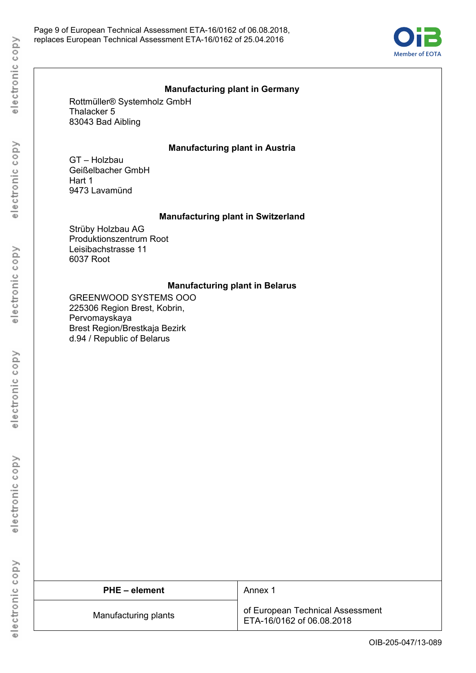

#### **Manufacturing plant in Germany**

Rottmüller® Systemholz GmbH Thalacker 5 83043 Bad Aibling

#### **Manufacturing plant in Austria**

GT – Holzbau Geißelbacher GmbH Hart 1 9473 Lavamünd

#### **Manufacturing plant in Switzerland**

Strüby Holzbau AG Produktionszentrum Root Leisibachstrasse 11 6037 Root

#### **Manufacturing plant in Belarus**

GREENWOOD SYSTEMS OOO 225306 Region Brest, Kobrin, Pervomayskaya Brest Region/Brestkaja Bezirk d.94 / Republic of Belarus

| <b>PHE</b> – element | Annex 1                                                       |
|----------------------|---------------------------------------------------------------|
| Manufacturing plants | of European Technical Assessment<br>ETA-16/0162 of 06.08.2018 |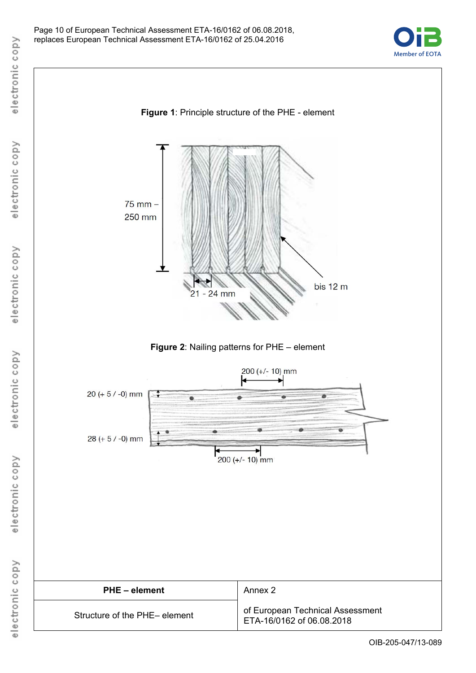

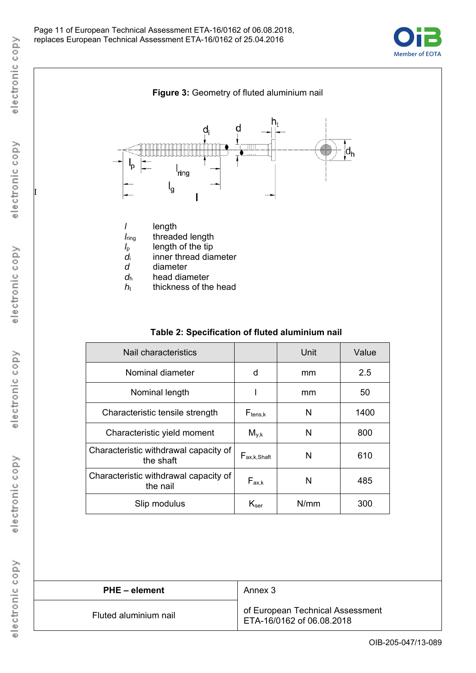



## **Table 2: Specification of fluted aluminium nail**

| Nail characteristics                               |                             | Unit | Value |
|----------------------------------------------------|-----------------------------|------|-------|
| Nominal diameter                                   | d                           | mm   | 2.5   |
| Nominal length                                     |                             | mm   | 50    |
| Characteristic tensile strength                    | $F_{tens,k}$                | N    | 1400  |
| Characteristic yield moment                        | $M_{\nu,k}$                 | N    | 800   |
| Characteristic withdrawal capacity of<br>the shaft | $F_{ax,k,Shaft}$            | N    | 610   |
| Characteristic withdrawal capacity of<br>the nail  | $F_{ax,k}$                  | N    | 485   |
| Slip modulus                                       | $\mathsf{K}_{\mathsf{ser}}$ | N/mm | 300   |

| <b>PHE</b> – element  | Annex 3                                                       |
|-----------------------|---------------------------------------------------------------|
| Fluted aluminium nail | of European Technical Assessment<br>ETA-16/0162 of 06.08.2018 |

I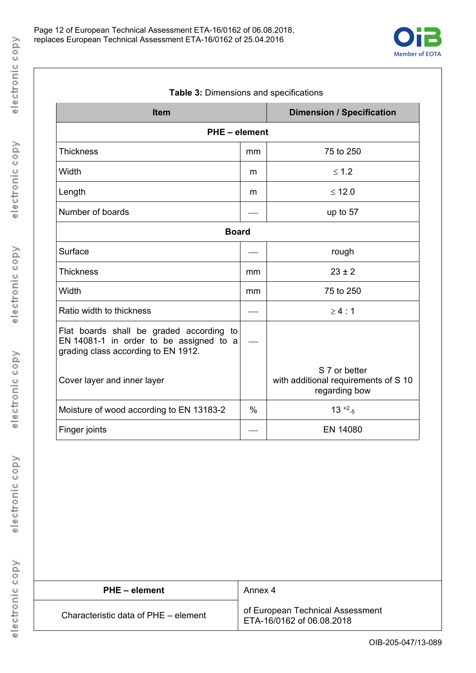

| Table 3: Dimensions and specifications                                              |                                                                        |  |  |  |
|-------------------------------------------------------------------------------------|------------------------------------------------------------------------|--|--|--|
|                                                                                     | <b>Dimension / Specification</b>                                       |  |  |  |
| <b>PHE-element</b>                                                                  |                                                                        |  |  |  |
| mm                                                                                  | 75 to 250                                                              |  |  |  |
| m                                                                                   | $\leq 1.2$                                                             |  |  |  |
| m                                                                                   | $≤ 12.0$                                                               |  |  |  |
|                                                                                     | up to 57                                                               |  |  |  |
| <b>Board</b>                                                                        |                                                                        |  |  |  |
|                                                                                     | rough                                                                  |  |  |  |
| mm                                                                                  | $23 \pm 2$                                                             |  |  |  |
| mm                                                                                  | 75 to 250                                                              |  |  |  |
|                                                                                     | $\geq 4:1$                                                             |  |  |  |
| Flat boards shall be graded according to<br>EN 14081-1 in order to be assigned to a |                                                                        |  |  |  |
|                                                                                     | S 7 or better<br>with additional requirements of S 10<br>regarding bow |  |  |  |
| $\%$                                                                                | $13^{+2} - 5$                                                          |  |  |  |
|                                                                                     | EN 14080                                                               |  |  |  |
|                                                                                     |                                                                        |  |  |  |

**PHE – element** Annex 4 of European Technical Assessment<br>ETA-16/0162 of 06.08.2018 Characteristic data of  $PHE - element$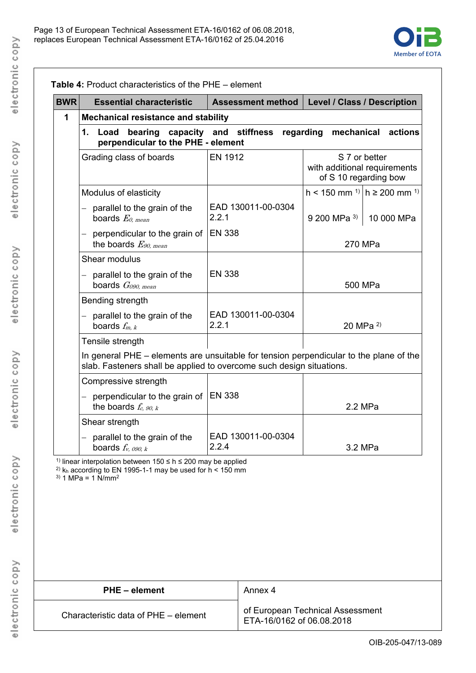

| <b>BWR</b> | <b>Essential characteristic</b>                                                                                                                                                     |                                            | <b>Assessment method</b>                                      | Level / Class / Description                                            |                |            |
|------------|-------------------------------------------------------------------------------------------------------------------------------------------------------------------------------------|--------------------------------------------|---------------------------------------------------------------|------------------------------------------------------------------------|----------------|------------|
| 1          |                                                                                                                                                                                     | <b>Mechanical resistance and stability</b> |                                                               |                                                                        |                |            |
|            | bearing capacity and stiffness regarding mechanical actions<br>1.<br>Load<br>perpendicular to the PHE - element                                                                     |                                            |                                                               |                                                                        |                |            |
|            | Grading class of boards                                                                                                                                                             | <b>EN 1912</b>                             |                                                               | S 7 or better<br>with additional requirements<br>of S 10 regarding bow |                |            |
|            | Modulus of elasticity                                                                                                                                                               |                                            |                                                               | h < 150 mm <sup>1)</sup> $ h$ ≥ 200 mm <sup>1)</sup>                   |                |            |
|            | $-$ parallel to the grain of the<br>boards $E_{0. \, mean}$                                                                                                                         | 2.2.1                                      | EAD 130011-00-0304                                            | $9200$ MPa <sup>3)</sup>                                               |                | 10 000 MPa |
|            | - perpendicular to the grain of<br>the boards $E_{90,mean}$                                                                                                                         | <b>EN 338</b>                              |                                                               |                                                                        | 270 MPa        |            |
|            | Shear modulus                                                                                                                                                                       |                                            |                                                               |                                                                        |                |            |
|            | $-$ parallel to the grain of the<br>boards $G090. mean$                                                                                                                             | <b>EN 338</b>                              |                                                               |                                                                        | 500 MPa        |            |
|            | Bending strength                                                                                                                                                                    |                                            |                                                               |                                                                        |                |            |
|            | $-$ parallel to the grain of the<br>boards $f_{m, k}$                                                                                                                               | 2.2.1                                      | EAD 130011-00-0304                                            |                                                                        | 20 MPa $^{2)}$ |            |
|            | Tensile strength                                                                                                                                                                    |                                            |                                                               |                                                                        |                |            |
|            | In general PHE – elements are unsuitable for tension perpendicular to the plane of the<br>slab. Fasteners shall be applied to overcome such design situations.                      |                                            |                                                               |                                                                        |                |            |
|            | Compressive strength                                                                                                                                                                |                                            |                                                               |                                                                        |                |            |
|            | - perpendicular to the grain of<br>the boards $f_c$ , 90, k                                                                                                                         | <b>EN 338</b>                              |                                                               |                                                                        | 2.2 MPa        |            |
|            | Shear strength                                                                                                                                                                      |                                            |                                                               |                                                                        |                |            |
|            | parallel to the grain of the<br>boards $f_{v. 090. k}$                                                                                                                              | EAD 130011-00-0304<br>2.2.4                |                                                               |                                                                        | 3.2 MPa        |            |
|            | 1) linear interpolation between $150 \le h \le 200$ may be applied<br><sup>2)</sup> $k_h$ according to EN 1995-1-1 may be used for $h < 150$ mm<br>$3)$ 1 MPa = 1 N/mm <sup>2</sup> |                                            |                                                               |                                                                        |                |            |
|            | <b>PHE-element</b>                                                                                                                                                                  |                                            | Annex 4                                                       |                                                                        |                |            |
|            | Characteristic data of PHE - element                                                                                                                                                |                                            | of European Technical Assessment<br>ETA-16/0162 of 06.08.2018 |                                                                        |                |            |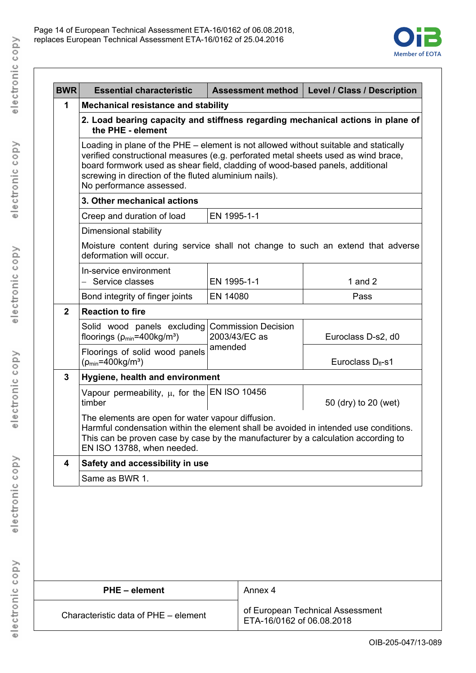

| 1<br>the PHE - element<br>Dimensional stability<br>deformation will occur.<br>In-service environment<br>Service classes<br>$\equiv$<br>$\overline{2}$<br>floorings ( $\rho_{min}$ =400kg/m <sup>3</sup> )<br>$(p_{min} = 400 kg/m^3)$ | <b>Mechanical resistance and stability</b><br>screwing in direction of the fluted aluminium nails).<br>No performance assessed.<br>3. Other mechanical actions<br>Creep and duration of load<br>Bond integrity of finger joints                              | board formwork used as shear field, cladding of wood-based panels, additional<br>EN 1995-1-1<br>EN 1995-1-1 | 2. Load bearing capacity and stiffness regarding mechanical actions in plane of<br>Loading in plane of the PHE – element is not allowed without suitable and statically<br>verified constructional measures (e.g. perforated metal sheets used as wind brace,<br>Moisture content during service shall not change to such an extend that adverse |  |  |  |
|---------------------------------------------------------------------------------------------------------------------------------------------------------------------------------------------------------------------------------------|--------------------------------------------------------------------------------------------------------------------------------------------------------------------------------------------------------------------------------------------------------------|-------------------------------------------------------------------------------------------------------------|--------------------------------------------------------------------------------------------------------------------------------------------------------------------------------------------------------------------------------------------------------------------------------------------------------------------------------------------------|--|--|--|
|                                                                                                                                                                                                                                       |                                                                                                                                                                                                                                                              |                                                                                                             |                                                                                                                                                                                                                                                                                                                                                  |  |  |  |
|                                                                                                                                                                                                                                       |                                                                                                                                                                                                                                                              |                                                                                                             |                                                                                                                                                                                                                                                                                                                                                  |  |  |  |
|                                                                                                                                                                                                                                       |                                                                                                                                                                                                                                                              |                                                                                                             |                                                                                                                                                                                                                                                                                                                                                  |  |  |  |
|                                                                                                                                                                                                                                       |                                                                                                                                                                                                                                                              |                                                                                                             |                                                                                                                                                                                                                                                                                                                                                  |  |  |  |
|                                                                                                                                                                                                                                       |                                                                                                                                                                                                                                                              |                                                                                                             |                                                                                                                                                                                                                                                                                                                                                  |  |  |  |
|                                                                                                                                                                                                                                       |                                                                                                                                                                                                                                                              |                                                                                                             |                                                                                                                                                                                                                                                                                                                                                  |  |  |  |
|                                                                                                                                                                                                                                       |                                                                                                                                                                                                                                                              |                                                                                                             |                                                                                                                                                                                                                                                                                                                                                  |  |  |  |
|                                                                                                                                                                                                                                       |                                                                                                                                                                                                                                                              |                                                                                                             | 1 and $2$                                                                                                                                                                                                                                                                                                                                        |  |  |  |
|                                                                                                                                                                                                                                       |                                                                                                                                                                                                                                                              | EN 14080                                                                                                    | Pass                                                                                                                                                                                                                                                                                                                                             |  |  |  |
|                                                                                                                                                                                                                                       | <b>Reaction to fire</b>                                                                                                                                                                                                                                      |                                                                                                             |                                                                                                                                                                                                                                                                                                                                                  |  |  |  |
|                                                                                                                                                                                                                                       | Solid wood panels excluding                                                                                                                                                                                                                                  | <b>Commission Decision</b><br>2003/43/EC as                                                                 | Euroclass D-s2, d0                                                                                                                                                                                                                                                                                                                               |  |  |  |
|                                                                                                                                                                                                                                       | Floorings of solid wood panels                                                                                                                                                                                                                               | amended                                                                                                     | Euroclass $D_{\rm fl}$ -s1                                                                                                                                                                                                                                                                                                                       |  |  |  |
| 3                                                                                                                                                                                                                                     | Hygiene, health and environment                                                                                                                                                                                                                              |                                                                                                             |                                                                                                                                                                                                                                                                                                                                                  |  |  |  |
| timber                                                                                                                                                                                                                                | Vapour permeability, $\mu$ , for the EN ISO 10456                                                                                                                                                                                                            |                                                                                                             | 50 (dry) to 20 (wet)                                                                                                                                                                                                                                                                                                                             |  |  |  |
|                                                                                                                                                                                                                                       | The elements are open for water vapour diffusion.<br>Harmful condensation within the element shall be avoided in intended use conditions.<br>This can be proven case by case by the manufacturer by a calculation according to<br>EN ISO 13788, when needed. |                                                                                                             |                                                                                                                                                                                                                                                                                                                                                  |  |  |  |
| $\overline{\mathbf{4}}$                                                                                                                                                                                                               | Safety and accessibility in use                                                                                                                                                                                                                              |                                                                                                             |                                                                                                                                                                                                                                                                                                                                                  |  |  |  |
|                                                                                                                                                                                                                                       | Same as BWR 1.                                                                                                                                                                                                                                               |                                                                                                             |                                                                                                                                                                                                                                                                                                                                                  |  |  |  |

| <b>PHE</b> – element                 | Annex 4                                                       |
|--------------------------------------|---------------------------------------------------------------|
| Characteristic data of PHE – element | of European Technical Assessment<br>ETA-16/0162 of 06.08.2018 |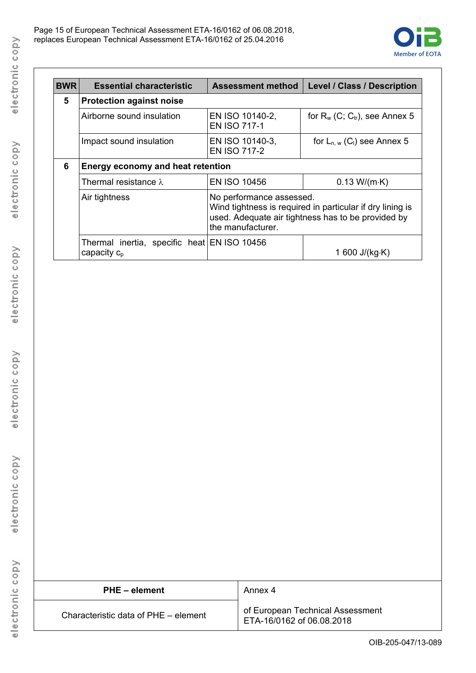

| <b>BWR</b> | <b>Essential characteristic</b>                                 | <b>Assessment method</b>                                                                                                                                         | <b>Level / Class / Description</b>          |  |
|------------|-----------------------------------------------------------------|------------------------------------------------------------------------------------------------------------------------------------------------------------------|---------------------------------------------|--|
| 5          | <b>Protection against noise</b>                                 |                                                                                                                                                                  |                                             |  |
|            | Airborne sound insulation                                       | EN ISO 10140-2,<br><b>EN ISO 717-1</b>                                                                                                                           | for $R_w$ (C; $C_{tr}$ ), see Annex 5       |  |
|            | Impact sound insulation                                         | EN ISO 10140-3,<br><b>EN ISO 717-2</b>                                                                                                                           | for $L_{n,w}$ (C <sub>I</sub> ) see Annex 5 |  |
| 6          | Energy economy and heat retention                               |                                                                                                                                                                  |                                             |  |
|            | <b>EN ISO 10456</b><br>Thermal resistance $\lambda$             |                                                                                                                                                                  | 0.13 W/(m·K)                                |  |
|            | Air tightness                                                   | No performance assessed.<br>Wind tightness is required in particular if dry lining is<br>used. Adequate air tightness has to be provided by<br>the manufacturer. |                                             |  |
|            | Thermal inertia, specific heat EN ISO 10456<br>capacity $c_{p}$ |                                                                                                                                                                  | 1 600 J/(kg·K)                              |  |

| PHE - element                        | Annex 4                                                       |
|--------------------------------------|---------------------------------------------------------------|
| Characteristic data of PHE – element | of European Technical Assessment<br>ETA-16/0162 of 06.08.2018 |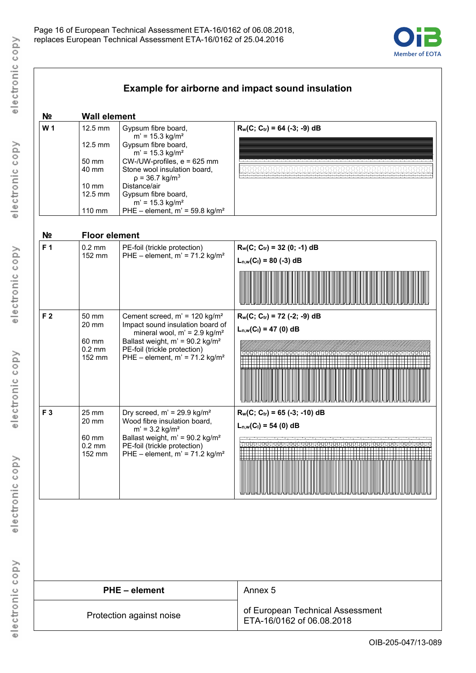

| 12.5 mm<br>12.5 mm<br>50 mm<br>40 mm<br>$10 \text{ mm}$<br>12.5 mm<br>110 mm | Gypsum fibre board,<br>$m' = 15.3$ kg/m <sup>2</sup><br>Gypsum fibre board,<br>$m' = 15.3$ kg/m <sup>2</sup><br>CW-/UW-profiles, e = 625 mm<br>Stone wool insulation board,<br>$p = 36.7$ kg/m <sup>3</sup><br>Distance/air<br>Gypsum fibre board, | $R_w(C; C_{tr}) = 64$ (-3; -9) dB                                                                                                                                                                                                                                                                                                                                                          |
|------------------------------------------------------------------------------|----------------------------------------------------------------------------------------------------------------------------------------------------------------------------------------------------------------------------------------------------|--------------------------------------------------------------------------------------------------------------------------------------------------------------------------------------------------------------------------------------------------------------------------------------------------------------------------------------------------------------------------------------------|
|                                                                              |                                                                                                                                                                                                                                                    |                                                                                                                                                                                                                                                                                                                                                                                            |
|                                                                              |                                                                                                                                                                                                                                                    |                                                                                                                                                                                                                                                                                                                                                                                            |
|                                                                              |                                                                                                                                                                                                                                                    |                                                                                                                                                                                                                                                                                                                                                                                            |
|                                                                              |                                                                                                                                                                                                                                                    |                                                                                                                                                                                                                                                                                                                                                                                            |
|                                                                              |                                                                                                                                                                                                                                                    |                                                                                                                                                                                                                                                                                                                                                                                            |
|                                                                              | $m' = 15.3$ kg/m <sup>2</sup>                                                                                                                                                                                                                      |                                                                                                                                                                                                                                                                                                                                                                                            |
|                                                                              | PHE - element, $m' = 59.8$ kg/m <sup>2</sup>                                                                                                                                                                                                       |                                                                                                                                                                                                                                                                                                                                                                                            |
|                                                                              |                                                                                                                                                                                                                                                    |                                                                                                                                                                                                                                                                                                                                                                                            |
| $0.2$ mm                                                                     | PE-foil (trickle protection)                                                                                                                                                                                                                       | $R_w(C; C_{tr}) = 32 (0; -1) dB$                                                                                                                                                                                                                                                                                                                                                           |
|                                                                              |                                                                                                                                                                                                                                                    | $L_{n,w}(C_1) = 80$ (-3) dB                                                                                                                                                                                                                                                                                                                                                                |
|                                                                              |                                                                                                                                                                                                                                                    |                                                                                                                                                                                                                                                                                                                                                                                            |
|                                                                              |                                                                                                                                                                                                                                                    |                                                                                                                                                                                                                                                                                                                                                                                            |
|                                                                              |                                                                                                                                                                                                                                                    |                                                                                                                                                                                                                                                                                                                                                                                            |
| 50 mm                                                                        | Cement screed, m' = 120 kg/m <sup>2</sup>                                                                                                                                                                                                          | $R_w(C; C_{tr}) = 72$ (-2; -9) dB                                                                                                                                                                                                                                                                                                                                                          |
|                                                                              |                                                                                                                                                                                                                                                    | $L_{n,w}(C_1) = 47$ (0) dB                                                                                                                                                                                                                                                                                                                                                                 |
| 60 mm                                                                        | Ballast weight, $m' = 90.2$ kg/m <sup>2</sup>                                                                                                                                                                                                      |                                                                                                                                                                                                                                                                                                                                                                                            |
| 152 mm                                                                       |                                                                                                                                                                                                                                                    |                                                                                                                                                                                                                                                                                                                                                                                            |
|                                                                              |                                                                                                                                                                                                                                                    |                                                                                                                                                                                                                                                                                                                                                                                            |
|                                                                              |                                                                                                                                                                                                                                                    |                                                                                                                                                                                                                                                                                                                                                                                            |
|                                                                              |                                                                                                                                                                                                                                                    |                                                                                                                                                                                                                                                                                                                                                                                            |
| 25 mm                                                                        |                                                                                                                                                                                                                                                    | $R_w(C; C_{tr}) = 65 (-3; -10) dB$                                                                                                                                                                                                                                                                                                                                                         |
| 20 mm                                                                        | Wood fibre insulation board,                                                                                                                                                                                                                       | $L_{n,w}(C_i) = 54$ (0) dB                                                                                                                                                                                                                                                                                                                                                                 |
| 60 mm                                                                        | Ballast weight, $m' = 90.2$ kg/m <sup>2</sup>                                                                                                                                                                                                      |                                                                                                                                                                                                                                                                                                                                                                                            |
|                                                                              |                                                                                                                                                                                                                                                    |                                                                                                                                                                                                                                                                                                                                                                                            |
|                                                                              |                                                                                                                                                                                                                                                    |                                                                                                                                                                                                                                                                                                                                                                                            |
|                                                                              |                                                                                                                                                                                                                                                    |                                                                                                                                                                                                                                                                                                                                                                                            |
|                                                                              |                                                                                                                                                                                                                                                    |                                                                                                                                                                                                                                                                                                                                                                                            |
|                                                                              | 152 mm<br>20 mm<br>$0.2$ mm<br>$0.2$ mm<br>152 mm                                                                                                                                                                                                  | <b>Floor element</b><br>PHE - element, $m' = 71.2$ kg/m <sup>2</sup><br>Impact sound insulation board of<br>mineral wool, $m' = 2.9$ kg/m <sup>2</sup><br>PE-foil (trickle protection)<br>PHE - element, $m' = 71.2$ kg/m <sup>2</sup><br>Dry screed, $m' = 29.9$ kg/ $m2$<br>$m' = 3.2$ kg/m <sup>2</sup><br>PE-foil (trickle protection)<br>PHE - element, $m' = 71.2$ kg/m <sup>2</sup> |